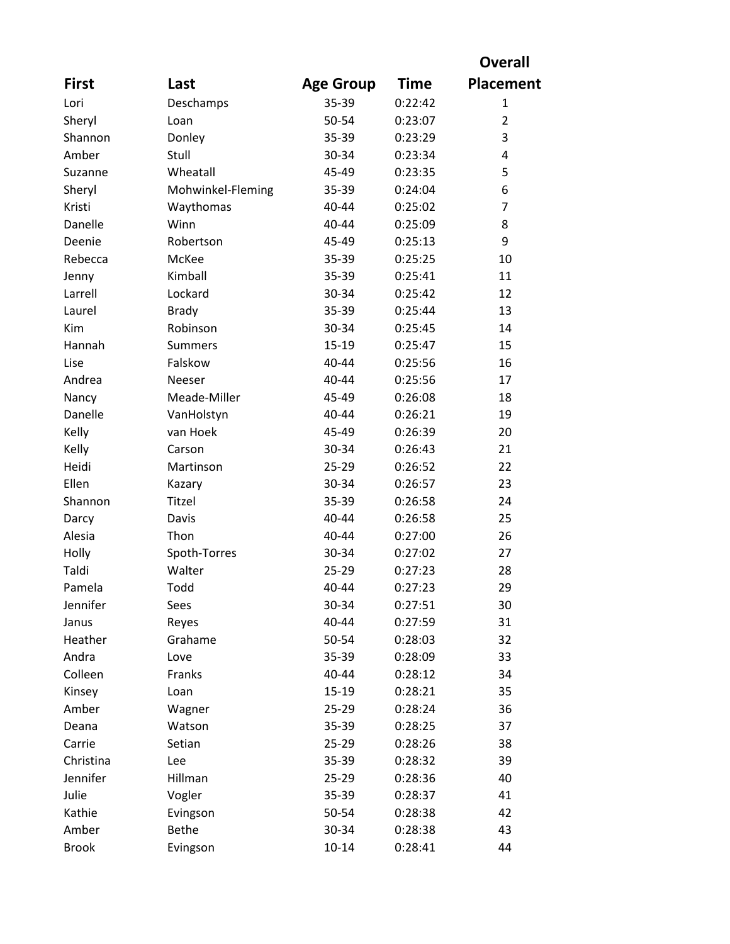|              |                   |                  |             | <b>Overall</b>   |
|--------------|-------------------|------------------|-------------|------------------|
| <b>First</b> | Last              | <b>Age Group</b> | <b>Time</b> | <b>Placement</b> |
| Lori         | Deschamps         | 35-39            | 0:22:42     | 1                |
| Sheryl       | Loan              | 50-54            | 0:23:07     | $\overline{2}$   |
| Shannon      | Donley            | 35-39            | 0:23:29     | 3                |
| Amber        | Stull             | 30-34            | 0:23:34     | $\overline{4}$   |
| Suzanne      | Wheatall          | 45-49            | 0:23:35     | 5                |
| Sheryl       | Mohwinkel-Fleming | 35-39            | 0:24:04     | 6                |
| Kristi       | Waythomas         | $40 - 44$        | 0:25:02     | $\overline{7}$   |
| Danelle      | Winn              | 40-44            | 0:25:09     | 8                |
| Deenie       | Robertson         | 45-49            | 0:25:13     | 9                |
| Rebecca      | McKee             | 35-39            | 0:25:25     | 10               |
| Jenny        | Kimball           | 35-39            | 0:25:41     | 11               |
| Larrell      | Lockard           | 30-34            | 0:25:42     | 12               |
| Laurel       | <b>Brady</b>      | 35-39            | 0:25:44     | 13               |
| Kim          | Robinson          | 30-34            | 0:25:45     | 14               |
| Hannah       | <b>Summers</b>    | $15-19$          | 0:25:47     | 15               |
| Lise         | Falskow           | 40-44            | 0:25:56     | 16               |
| Andrea       | Neeser            | 40-44            | 0:25:56     | 17               |
| Nancy        | Meade-Miller      | 45-49            | 0:26:08     | 18               |
| Danelle      | VanHolstyn        | 40-44            | 0:26:21     | 19               |
| Kelly        | van Hoek          | 45-49            | 0:26:39     | 20               |
| Kelly        | Carson            | 30-34            | 0:26:43     | 21               |
| Heidi        | Martinson         | $25 - 29$        | 0:26:52     | 22               |
| Ellen        | Kazary            | 30-34            | 0:26:57     | 23               |
| Shannon      | Titzel            | 35-39            | 0:26:58     | 24               |
| Darcy        | Davis             | 40-44            | 0:26:58     | 25               |
| Alesia       | Thon              | 40-44            | 0:27:00     | 26               |
| Holly        | Spoth-Torres      | 30-34            | 0:27:02     | 27               |
| Taldi        | Walter            | 25-29            | 0:27:23     | 28               |
| Pamela       | Todd              | 40-44            | 0:27:23     | 29               |
| Jennifer     | Sees              | 30-34            | 0:27:51     | 30               |
| Janus        | Reyes             | 40-44            | 0:27:59     | 31               |
| Heather      | Grahame           | 50-54            | 0:28:03     | 32               |
| Andra        | Love              | 35-39            | 0:28:09     | 33               |
| Colleen      | Franks            | 40-44            | 0:28:12     | 34               |
| Kinsey       | Loan              | $15-19$          | 0:28:21     | 35               |
| Amber        | Wagner            | $25 - 29$        | 0:28:24     | 36               |
| Deana        | Watson            | 35-39            | 0:28:25     | 37               |
| Carrie       | Setian            | $25 - 29$        | 0:28:26     | 38               |
| Christina    | Lee               | 35-39            | 0:28:32     | 39               |
| Jennifer     | Hillman           | $25 - 29$        | 0:28:36     | 40               |
| Julie        | Vogler            | 35-39            | 0:28:37     | 41               |
| Kathie       | Evingson          | 50-54            | 0:28:38     | 42               |
| Amber        | <b>Bethe</b>      | 30-34            | 0:28:38     | 43               |
| <b>Brook</b> | Evingson          | $10 - 14$        | 0:28:41     | 44               |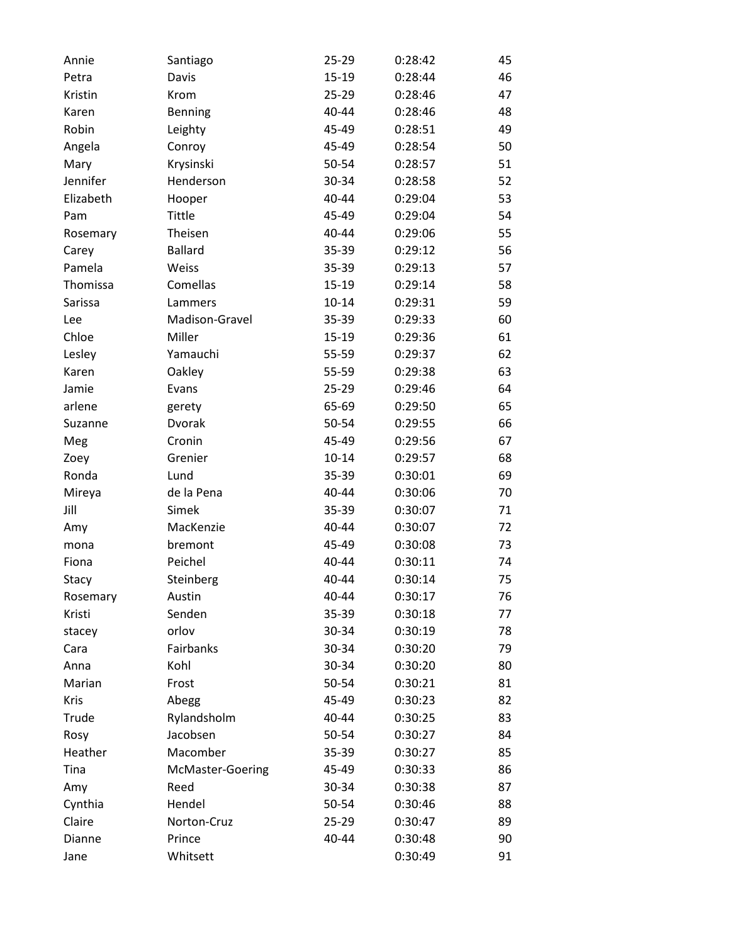| Annie     | Santiago         | 25-29     | 0:28:42 | 45 |
|-----------|------------------|-----------|---------|----|
| Petra     | Davis            | $15-19$   | 0:28:44 | 46 |
| Kristin   | Krom             | $25 - 29$ | 0:28:46 | 47 |
| Karen     | Benning          | 40-44     | 0:28:46 | 48 |
| Robin     | Leighty          | 45-49     | 0:28:51 | 49 |
| Angela    | Conroy           | 45-49     | 0:28:54 | 50 |
| Mary      | Krysinski        | 50-54     | 0:28:57 | 51 |
| Jennifer  | Henderson        | 30-34     | 0:28:58 | 52 |
| Elizabeth | Hooper           | 40-44     | 0:29:04 | 53 |
| Pam       | Tittle           | 45-49     | 0:29:04 | 54 |
| Rosemary  | Theisen          | 40-44     | 0:29:06 | 55 |
| Carey     | <b>Ballard</b>   | 35-39     | 0:29:12 | 56 |
| Pamela    | Weiss            | 35-39     | 0:29:13 | 57 |
| Thomissa  | Comellas         | $15-19$   | 0:29:14 | 58 |
| Sarissa   | Lammers          | $10 - 14$ | 0:29:31 | 59 |
| Lee       | Madison-Gravel   | 35-39     | 0:29:33 | 60 |
| Chloe     | Miller           | $15-19$   | 0:29:36 | 61 |
| Lesley    | Yamauchi         | 55-59     | 0:29:37 | 62 |
| Karen     | Oakley           | 55-59     | 0:29:38 | 63 |
| Jamie     | Evans            | $25 - 29$ | 0:29:46 | 64 |
| arlene    | gerety           | 65-69     | 0:29:50 | 65 |
| Suzanne   | Dvorak           | 50-54     | 0:29:55 | 66 |
| Meg       | Cronin           | 45-49     | 0:29:56 | 67 |
| Zoey      | Grenier          | $10 - 14$ | 0:29:57 | 68 |
| Ronda     | Lund             | 35-39     | 0:30:01 | 69 |
| Mireya    | de la Pena       | 40-44     | 0:30:06 | 70 |
| Jill      | Simek            | 35-39     | 0:30:07 | 71 |
| Amy       | MacKenzie        | 40-44     | 0:30:07 | 72 |
| mona      | bremont          | 45-49     | 0:30:08 | 73 |
| Fiona     | Peichel          | 40-44     | 0:30:11 | 74 |
| Stacy     | Steinberg        | 40-44     | 0:30:14 | 75 |
| Rosemary  | Austin           | 40-44     | 0:30:17 | 76 |
| Kristi    | Senden           | 35-39     | 0:30:18 | 77 |
| stacey    | orlov            | 30-34     | 0:30:19 | 78 |
| Cara      | Fairbanks        | 30-34     | 0:30:20 | 79 |
| Anna      | Kohl             | 30-34     | 0:30:20 | 80 |
| Marian    | Frost            | 50-54     | 0:30:21 | 81 |
| Kris      | Abegg            | 45-49     | 0:30:23 | 82 |
| Trude     | Rylandsholm      | 40-44     | 0:30:25 | 83 |
| Rosy      | Jacobsen         | 50-54     | 0:30:27 | 84 |
| Heather   | Macomber         | 35-39     | 0:30:27 | 85 |
| Tina      | McMaster-Goering | 45-49     | 0:30:33 | 86 |
| Amy       | Reed             | 30-34     | 0:30:38 | 87 |
| Cynthia   | Hendel           | 50-54     | 0:30:46 | 88 |
| Claire    | Norton-Cruz      | 25-29     | 0:30:47 | 89 |
| Dianne    | Prince           | 40-44     | 0:30:48 | 90 |
| Jane      | Whitsett         |           | 0:30:49 | 91 |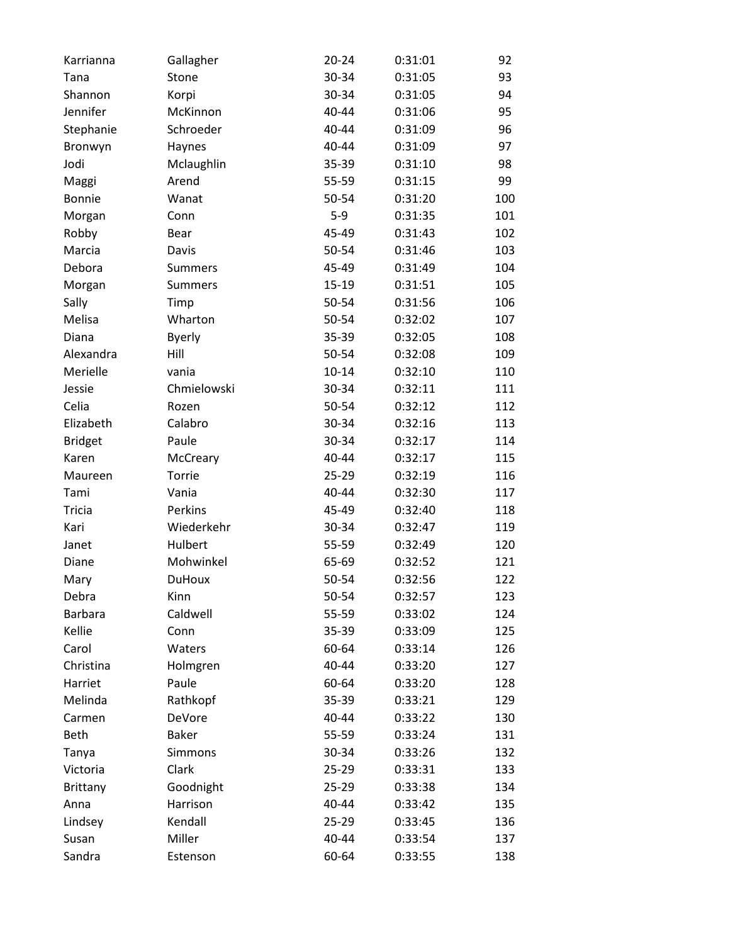| Karrianna       | Gallagher      | $20 - 24$ | 0:31:01 | 92  |
|-----------------|----------------|-----------|---------|-----|
| Tana            | Stone          | 30-34     | 0:31:05 | 93  |
| Shannon         | Korpi          | 30-34     | 0:31:05 | 94  |
| Jennifer        | McKinnon       | 40-44     | 0:31:06 | 95  |
| Stephanie       | Schroeder      | 40-44     | 0:31:09 | 96  |
| Bronwyn         | Haynes         | 40-44     | 0:31:09 | 97  |
| Jodi            | Mclaughlin     | 35-39     | 0:31:10 | 98  |
| Maggi           | Arend          | 55-59     | 0:31:15 | 99  |
| <b>Bonnie</b>   | Wanat          | 50-54     | 0:31:20 | 100 |
| Morgan          | Conn           | $5-9$     | 0:31:35 | 101 |
| Robby           | Bear           | 45-49     | 0:31:43 | 102 |
| Marcia          | Davis          | 50-54     | 0:31:46 | 103 |
| Debora          | <b>Summers</b> | 45-49     | 0:31:49 | 104 |
| Morgan          | <b>Summers</b> | $15 - 19$ | 0:31:51 | 105 |
| Sally           | Timp           | 50-54     | 0:31:56 | 106 |
| Melisa          | Wharton        | 50-54     | 0:32:02 | 107 |
| Diana           | <b>Byerly</b>  | 35-39     | 0:32:05 | 108 |
| Alexandra       | Hill           | 50-54     | 0:32:08 | 109 |
| Merielle        | vania          | $10 - 14$ | 0:32:10 | 110 |
| Jessie          | Chmielowski    | 30-34     | 0:32:11 | 111 |
| Celia           | Rozen          | 50-54     | 0:32:12 | 112 |
| Elizabeth       | Calabro        | 30-34     | 0:32:16 | 113 |
| <b>Bridget</b>  | Paule          | 30-34     | 0:32:17 | 114 |
| Karen           | McCreary       | 40-44     | 0:32:17 | 115 |
| Maureen         | Torrie         | 25-29     | 0:32:19 | 116 |
| Tami            | Vania          | 40-44     | 0:32:30 | 117 |
| <b>Tricia</b>   | Perkins        | 45-49     | 0:32:40 | 118 |
| Kari            | Wiederkehr     | 30-34     | 0:32:47 | 119 |
| Janet           | Hulbert        | 55-59     | 0:32:49 | 120 |
| Diane           | Mohwinkel      | 65-69     | 0:32:52 | 121 |
| Mary            | <b>DuHoux</b>  | 50-54     | 0:32:56 | 122 |
| Debra           | Kinn           | 50-54     | 0:32:57 | 123 |
| <b>Barbara</b>  | Caldwell       | 55-59     | 0:33:02 | 124 |
| Kellie          | Conn           | 35-39     | 0:33:09 | 125 |
| Carol           | Waters         | 60-64     | 0:33:14 | 126 |
| Christina       | Holmgren       | 40-44     | 0:33:20 | 127 |
| Harriet         | Paule          | 60-64     | 0:33:20 | 128 |
| Melinda         | Rathkopf       | 35-39     | 0:33:21 | 129 |
| Carmen          | DeVore         | 40-44     | 0:33:22 | 130 |
| <b>Beth</b>     | <b>Baker</b>   | 55-59     | 0:33:24 | 131 |
| Tanya           | Simmons        | 30-34     | 0:33:26 | 132 |
| Victoria        | Clark          | 25-29     | 0:33:31 | 133 |
| <b>Brittany</b> | Goodnight      | 25-29     | 0:33:38 | 134 |
| Anna            | Harrison       | 40-44     | 0:33:42 | 135 |
| Lindsey         | Kendall        | 25-29     | 0:33:45 | 136 |
| Susan           | Miller         | 40-44     | 0:33:54 | 137 |
| Sandra          | Estenson       | 60-64     | 0:33:55 | 138 |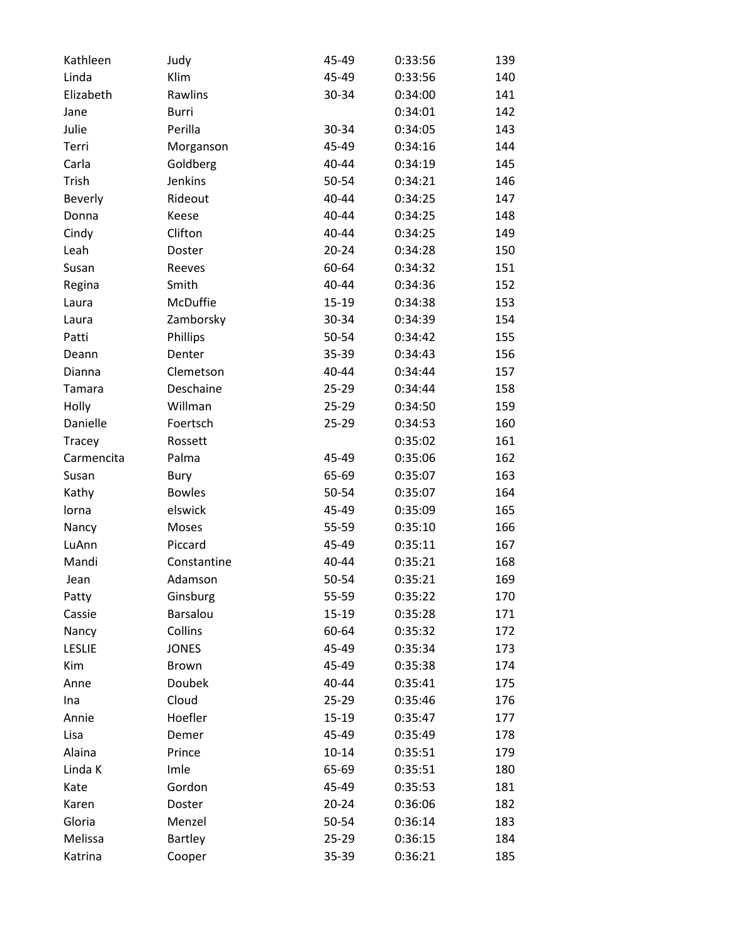| Kathleen       | Judy           | 45-49     | 0:33:56 | 139 |
|----------------|----------------|-----------|---------|-----|
| Linda          | Klim           | 45-49     | 0:33:56 | 140 |
| Elizabeth      | Rawlins        | 30-34     | 0:34:00 | 141 |
| Jane           | Burri          |           | 0:34:01 | 142 |
| Julie          | Perilla        | 30-34     | 0:34:05 | 143 |
| Terri          | Morganson      | 45-49     | 0:34:16 | 144 |
| Carla          | Goldberg       | 40-44     | 0:34:19 | 145 |
| Trish          | Jenkins        | 50-54     | 0:34:21 | 146 |
| <b>Beverly</b> | Rideout        | 40-44     | 0:34:25 | 147 |
| Donna          | Keese          | 40-44     | 0:34:25 | 148 |
| Cindy          | Clifton        | 40-44     | 0:34:25 | 149 |
| Leah           | Doster         | $20 - 24$ | 0:34:28 | 150 |
| Susan          | Reeves         | 60-64     | 0:34:32 | 151 |
| Regina         | Smith          | 40-44     | 0:34:36 | 152 |
| Laura          | McDuffie       | 15-19     | 0:34:38 | 153 |
| Laura          | Zamborsky      | 30-34     | 0:34:39 | 154 |
| Patti          | Phillips       | 50-54     | 0:34:42 | 155 |
| Deann          | Denter         | 35-39     | 0:34:43 | 156 |
| Dianna         | Clemetson      | 40-44     | 0:34:44 | 157 |
| Tamara         | Deschaine      | 25-29     | 0:34:44 | 158 |
| Holly          | Willman        | 25-29     | 0:34:50 | 159 |
| Danielle       | Foertsch       | $25 - 29$ | 0:34:53 | 160 |
| Tracey         | Rossett        |           | 0:35:02 | 161 |
| Carmencita     | Palma          | 45-49     | 0:35:06 | 162 |
| Susan          | Bury           | 65-69     | 0:35:07 | 163 |
| Kathy          | <b>Bowles</b>  | 50-54     | 0:35:07 | 164 |
| lorna          | elswick        | 45-49     | 0:35:09 | 165 |
| Nancy          | Moses          | 55-59     | 0:35:10 | 166 |
| LuAnn          | Piccard        | 45-49     | 0:35:11 | 167 |
| Mandi          | Constantine    | 40-44     | 0:35:21 | 168 |
| Jean           | Adamson        | 50-54     | 0:35:21 | 169 |
| Patty          | Ginsburg       | 55-59     | 0:35:22 | 170 |
| Cassie         | Barsalou       | 15-19     | 0:35:28 | 171 |
| Nancy          | Collins        | 60-64     | 0:35:32 | 172 |
| <b>LESLIE</b>  | <b>JONES</b>   | 45-49     | 0:35:34 | 173 |
| Kim            | Brown          | 45-49     | 0:35:38 | 174 |
| Anne           | Doubek         | 40-44     | 0:35:41 | 175 |
| Ina            | Cloud          | $25 - 29$ | 0:35:46 | 176 |
| Annie          | Hoefler        | 15-19     | 0:35:47 | 177 |
| Lisa           | Demer          | 45-49     | 0:35:49 | 178 |
| Alaina         | Prince         | $10 - 14$ | 0:35:51 | 179 |
| Linda K        | Imle           | 65-69     | 0:35:51 | 180 |
| Kate           | Gordon         | 45-49     | 0:35:53 | 181 |
| Karen          | Doster         | $20 - 24$ | 0:36:06 | 182 |
| Gloria         | Menzel         | 50-54     | 0:36:14 | 183 |
| Melissa        | <b>Bartley</b> | 25-29     | 0:36:15 | 184 |
| Katrina        | Cooper         | 35-39     | 0:36:21 | 185 |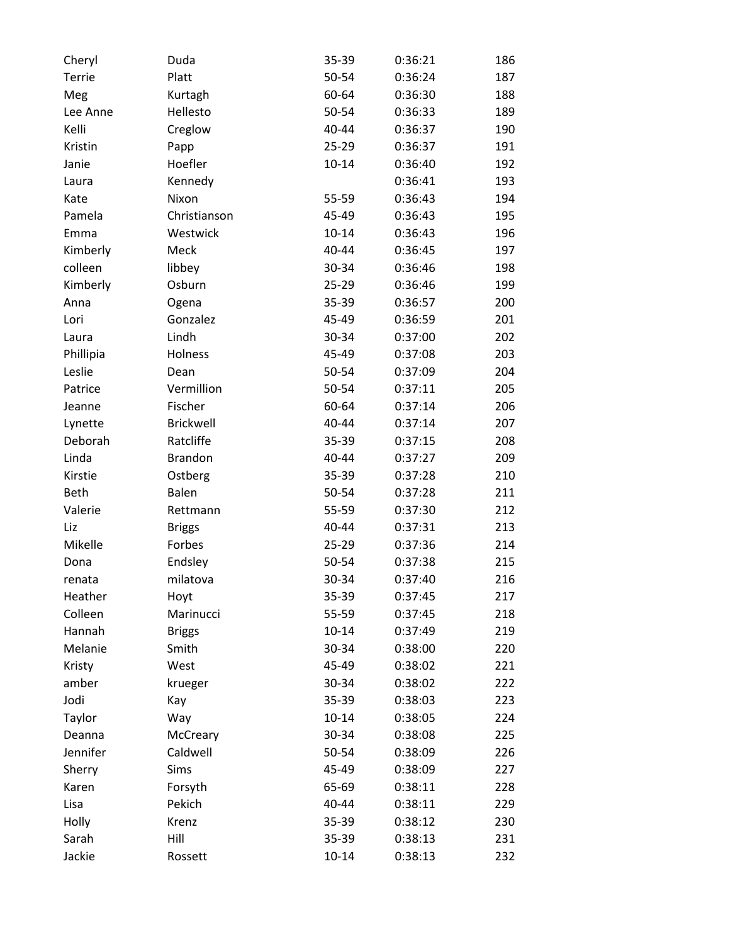| Cheryl        | Duda             | 35-39     | 0:36:21 | 186 |
|---------------|------------------|-----------|---------|-----|
| <b>Terrie</b> | Platt            | 50-54     | 0:36:24 | 187 |
| Meg           | Kurtagh          | 60-64     | 0:36:30 | 188 |
| Lee Anne      | Hellesto         | 50-54     | 0:36:33 | 189 |
| Kelli         | Creglow          | 40-44     | 0:36:37 | 190 |
| Kristin       | Papp             | $25 - 29$ | 0:36:37 | 191 |
| Janie         | Hoefler          | $10 - 14$ | 0:36:40 | 192 |
| Laura         | Kennedy          |           | 0:36:41 | 193 |
| Kate          | Nixon            | 55-59     | 0:36:43 | 194 |
| Pamela        | Christianson     | 45-49     | 0:36:43 | 195 |
| Emma          | Westwick         | $10 - 14$ | 0:36:43 | 196 |
| Kimberly      | Meck             | 40-44     | 0:36:45 | 197 |
| colleen       | libbey           | 30-34     | 0:36:46 | 198 |
| Kimberly      | Osburn           | 25-29     | 0:36:46 | 199 |
| Anna          | Ogena            | 35-39     | 0:36:57 | 200 |
| Lori          | Gonzalez         | 45-49     | 0:36:59 | 201 |
| Laura         | Lindh            | 30-34     | 0:37:00 | 202 |
| Phillipia     | Holness          | 45-49     | 0:37:08 | 203 |
| Leslie        | Dean             | 50-54     | 0:37:09 | 204 |
| Patrice       | Vermillion       | 50-54     | 0:37:11 | 205 |
| Jeanne        | Fischer          | 60-64     | 0:37:14 | 206 |
| Lynette       | <b>Brickwell</b> | 40-44     | 0:37:14 | 207 |
| Deborah       | Ratcliffe        | 35-39     | 0:37:15 | 208 |
| Linda         | <b>Brandon</b>   | 40-44     | 0:37:27 | 209 |
| Kirstie       | Ostberg          | 35-39     | 0:37:28 | 210 |
| <b>Beth</b>   | Balen            | 50-54     | 0:37:28 | 211 |
| Valerie       | Rettmann         | 55-59     | 0:37:30 | 212 |
| Liz           | <b>Briggs</b>    | 40-44     | 0:37:31 | 213 |
| Mikelle       | Forbes           | 25-29     | 0:37:36 | 214 |
| Dona          | Endsley          | 50-54     | 0:37:38 | 215 |
| renata        | milatova         | 30-34     | 0:37:40 | 216 |
| Heather       | Hoyt             | 35-39     | 0:37:45 | 217 |
| Colleen       | Marinucci        | 55-59     | 0:37:45 | 218 |
| Hannah        | <b>Briggs</b>    | $10 - 14$ | 0:37:49 | 219 |
| Melanie       | Smith            | 30-34     | 0:38:00 | 220 |
| Kristy        | West             | 45-49     | 0:38:02 | 221 |
| amber         | krueger          | 30-34     | 0:38:02 | 222 |
| Jodi          | Kay              | 35-39     | 0:38:03 | 223 |
| Taylor        | Way              | $10 - 14$ | 0:38:05 | 224 |
| Deanna        | McCreary         | 30-34     | 0:38:08 | 225 |
| Jennifer      | Caldwell         | 50-54     | 0:38:09 | 226 |
| Sherry        | Sims             | 45-49     | 0:38:09 | 227 |
| Karen         | Forsyth          | 65-69     | 0:38:11 | 228 |
| Lisa          | Pekich           | 40-44     | 0:38:11 | 229 |
| Holly         | Krenz            | 35-39     | 0:38:12 | 230 |
| Sarah         | Hill             | 35-39     | 0:38:13 | 231 |
| Jackie        | Rossett          | $10 - 14$ | 0:38:13 | 232 |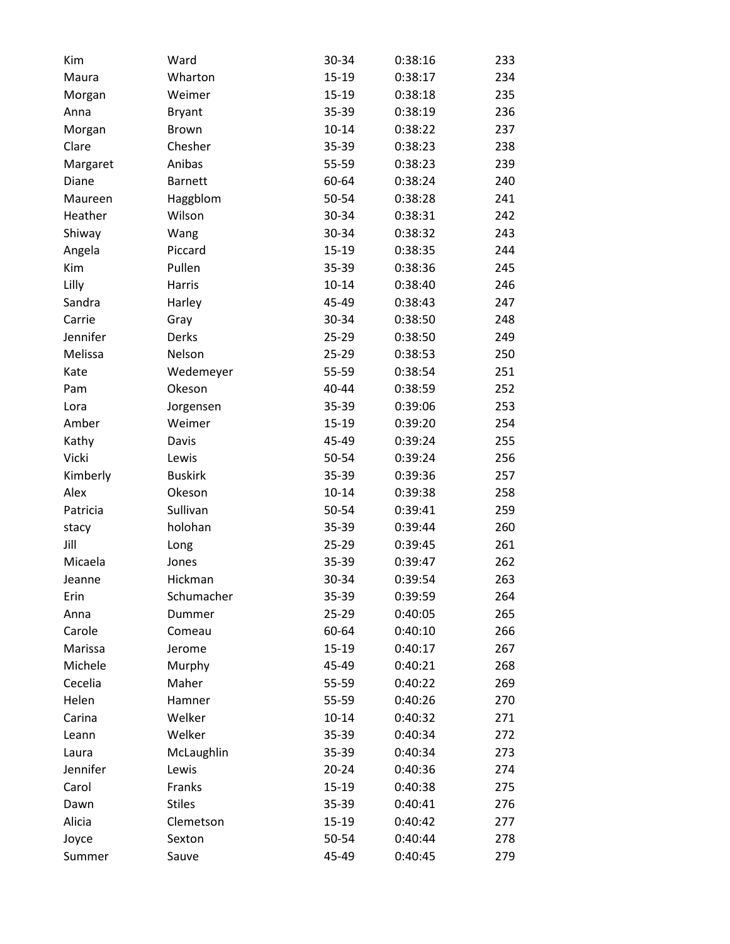| Kim      | Ward           | 30-34     | 0:38:16 | 233 |
|----------|----------------|-----------|---------|-----|
| Maura    | Wharton        | $15-19$   | 0:38:17 | 234 |
| Morgan   | Weimer         | 15-19     | 0:38:18 | 235 |
| Anna     | <b>Bryant</b>  | 35-39     | 0:38:19 | 236 |
| Morgan   | Brown          | $10 - 14$ | 0:38:22 | 237 |
| Clare    | Chesher        | 35-39     | 0:38:23 | 238 |
| Margaret | Anibas         | 55-59     | 0:38:23 | 239 |
| Diane    | <b>Barnett</b> | 60-64     | 0:38:24 | 240 |
| Maureen  | Haggblom       | 50-54     | 0:38:28 | 241 |
| Heather  | Wilson         | 30-34     | 0:38:31 | 242 |
| Shiway   | Wang           | 30-34     | 0:38:32 | 243 |
| Angela   | Piccard        | 15-19     | 0:38:35 | 244 |
| Kim      | Pullen         | 35-39     | 0:38:36 | 245 |
| Lilly    | Harris         | $10 - 14$ | 0:38:40 | 246 |
| Sandra   | Harley         | 45-49     | 0:38:43 | 247 |
| Carrie   | Gray           | 30-34     | 0:38:50 | 248 |
| Jennifer | Derks          | 25-29     | 0:38:50 | 249 |
| Melissa  | Nelson         | 25-29     | 0:38:53 | 250 |
| Kate     | Wedemeyer      | 55-59     | 0:38:54 | 251 |
| Pam      | Okeson         | 40-44     | 0:38:59 | 252 |
| Lora     | Jorgensen      | 35-39     | 0:39:06 | 253 |
| Amber    | Weimer         | 15-19     | 0:39:20 | 254 |
| Kathy    | Davis          | 45-49     | 0:39:24 | 255 |
| Vicki    | Lewis          | 50-54     | 0:39:24 | 256 |
| Kimberly | <b>Buskirk</b> | 35-39     | 0:39:36 | 257 |
| Alex     | Okeson         | $10 - 14$ | 0:39:38 | 258 |
| Patricia | Sullivan       | 50-54     | 0:39:41 | 259 |
| stacy    | holohan        | 35-39     | 0:39:44 | 260 |
| Jill     | Long           | $25 - 29$ | 0:39:45 | 261 |
| Micaela  | Jones          | 35-39     | 0:39:47 | 262 |
| Jeanne   | Hickman        | 30-34     | 0:39:54 | 263 |
| Erin     | Schumacher     | 35-39     | 0:39:59 | 264 |
| Anna     | Dummer         | 25-29     | 0:40:05 | 265 |
| Carole   | Comeau         | 60-64     | 0:40:10 | 266 |
| Marissa  | Jerome         | 15-19     | 0:40:17 | 267 |
| Michele  | Murphy         | 45-49     | 0:40:21 | 268 |
| Cecelia  | Maher          | 55-59     | 0:40:22 | 269 |
| Helen    | Hamner         | 55-59     | 0:40:26 | 270 |
| Carina   | Welker         | $10 - 14$ | 0:40:32 | 271 |
| Leann    | Welker         | 35-39     | 0:40:34 | 272 |
| Laura    | McLaughlin     | 35-39     | 0:40:34 | 273 |
| Jennifer | Lewis          | $20 - 24$ | 0:40:36 | 274 |
| Carol    | Franks         | 15-19     | 0:40:38 | 275 |
| Dawn     | <b>Stiles</b>  | 35-39     | 0:40:41 | 276 |
| Alicia   | Clemetson      | 15-19     | 0:40:42 | 277 |
| Joyce    | Sexton         | 50-54     | 0:40:44 | 278 |
| Summer   | Sauve          | 45-49     | 0:40:45 | 279 |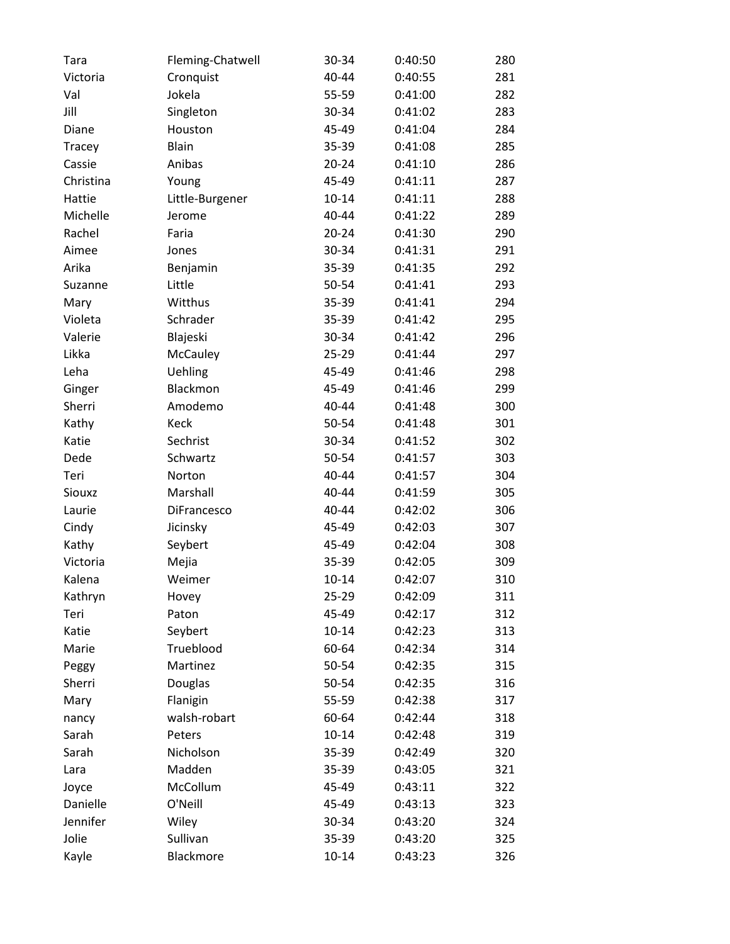| Tara      | Fleming-Chatwell | 30-34     | 0:40:50 | 280 |
|-----------|------------------|-----------|---------|-----|
| Victoria  | Cronquist        | 40-44     | 0:40:55 | 281 |
| Val       | Jokela           | 55-59     | 0:41:00 | 282 |
| Jill      | Singleton        | 30-34     | 0:41:02 | 283 |
| Diane     | Houston          | 45-49     | 0:41:04 | 284 |
| Tracey    | Blain            | 35-39     | 0:41:08 | 285 |
| Cassie    | Anibas           | $20 - 24$ | 0:41:10 | 286 |
| Christina | Young            | 45-49     | 0:41:11 | 287 |
| Hattie    | Little-Burgener  | $10 - 14$ | 0:41:11 | 288 |
| Michelle  | Jerome           | 40-44     | 0:41:22 | 289 |
| Rachel    | Faria            | $20 - 24$ | 0:41:30 | 290 |
| Aimee     | Jones            | 30-34     | 0:41:31 | 291 |
| Arika     | Benjamin         | 35-39     | 0:41:35 | 292 |
| Suzanne   | Little           | 50-54     | 0:41:41 | 293 |
| Mary      | Witthus          | 35-39     | 0:41:41 | 294 |
| Violeta   | Schrader         | 35-39     | 0:41:42 | 295 |
| Valerie   | Blajeski         | 30-34     | 0:41:42 | 296 |
| Likka     | McCauley         | 25-29     | 0:41:44 | 297 |
| Leha      | <b>Uehling</b>   | 45-49     | 0:41:46 | 298 |
| Ginger    | Blackmon         | 45-49     | 0:41:46 | 299 |
| Sherri    | Amodemo          | $40 - 44$ | 0:41:48 | 300 |
| Kathy     | Keck             | 50-54     | 0:41:48 | 301 |
| Katie     | Sechrist         | 30-34     | 0:41:52 | 302 |
| Dede      | Schwartz         | 50-54     | 0:41:57 | 303 |
| Teri      | Norton           | 40-44     | 0:41:57 | 304 |
| Siouxz    | Marshall         | 40-44     | 0:41:59 | 305 |
| Laurie    | DiFrancesco      | 40-44     | 0:42:02 | 306 |
| Cindy     | Jicinsky         | 45-49     | 0:42:03 | 307 |
| Kathy     | Seybert          | 45-49     | 0:42:04 | 308 |
| Victoria  | Mejia            | 35-39     | 0:42:05 | 309 |
| Kalena    | Weimer           | $10 - 14$ | 0:42:07 | 310 |
| Kathryn   | Hovey            | 25-29     | 0:42:09 | 311 |
| Teri      | Paton            | 45-49     | 0:42:17 | 312 |
| Katie     | Seybert          | $10 - 14$ | 0:42:23 | 313 |
| Marie     | Trueblood        | 60-64     | 0:42:34 | 314 |
| Peggy     | Martinez         | 50-54     | 0:42:35 | 315 |
| Sherri    | Douglas          | 50-54     | 0:42:35 | 316 |
| Mary      | Flanigin         | 55-59     | 0:42:38 | 317 |
| nancy     | walsh-robart     | 60-64     | 0:42:44 | 318 |
| Sarah     | Peters           | $10 - 14$ | 0:42:48 | 319 |
| Sarah     | Nicholson        | 35-39     | 0:42:49 | 320 |
| Lara      | Madden           | 35-39     | 0:43:05 | 321 |
| Joyce     | McCollum         | 45-49     | 0:43:11 | 322 |
| Danielle  | O'Neill          | 45-49     | 0:43:13 | 323 |
| Jennifer  | Wiley            | 30-34     | 0:43:20 | 324 |
| Jolie     | Sullivan         | 35-39     | 0:43:20 | 325 |
| Kayle     | Blackmore        | $10 - 14$ | 0:43:23 | 326 |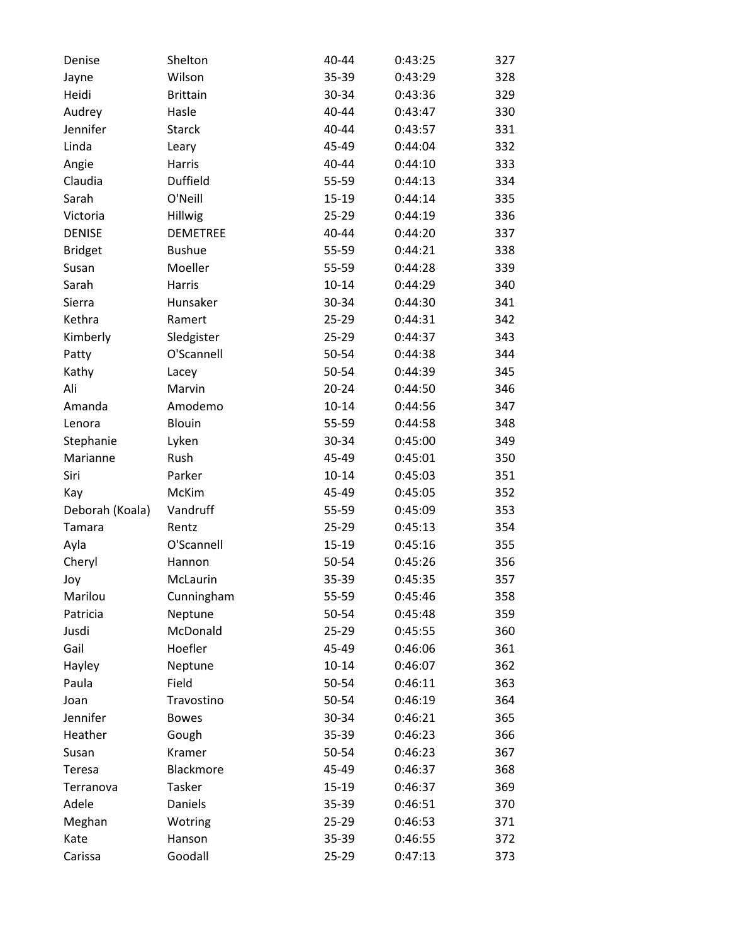| Denise          | Shelton         | 40-44     | 0:43:25 | 327 |
|-----------------|-----------------|-----------|---------|-----|
| Jayne           | Wilson          | 35-39     | 0:43:29 | 328 |
| Heidi           | <b>Brittain</b> | 30-34     | 0:43:36 | 329 |
| Audrey          | Hasle           | 40-44     | 0:43:47 | 330 |
| Jennifer        | <b>Starck</b>   | 40-44     | 0:43:57 | 331 |
| Linda           | Leary           | 45-49     | 0:44:04 | 332 |
| Angie           | Harris          | 40-44     | 0:44:10 | 333 |
| Claudia         | <b>Duffield</b> | 55-59     | 0:44:13 | 334 |
| Sarah           | O'Neill         | 15-19     | 0:44:14 | 335 |
| Victoria        | Hillwig         | $25 - 29$ | 0:44:19 | 336 |
| <b>DENISE</b>   | <b>DEMETREE</b> | 40-44     | 0:44:20 | 337 |
| <b>Bridget</b>  | <b>Bushue</b>   | 55-59     | 0:44:21 | 338 |
| Susan           | Moeller         | 55-59     | 0:44:28 | 339 |
| Sarah           | Harris          | $10 - 14$ | 0:44:29 | 340 |
| Sierra          | Hunsaker        | 30-34     | 0:44:30 | 341 |
| Kethra          | Ramert          | $25 - 29$ | 0:44:31 | 342 |
| Kimberly        | Sledgister      | 25-29     | 0:44:37 | 343 |
| Patty           | O'Scannell      | 50-54     | 0:44:38 | 344 |
| Kathy           | Lacey           | 50-54     | 0:44:39 | 345 |
| Ali             | Marvin          | $20 - 24$ | 0:44:50 | 346 |
| Amanda          | Amodemo         | $10 - 14$ | 0:44:56 | 347 |
| Lenora          | Blouin          | 55-59     | 0:44:58 | 348 |
| Stephanie       | Lyken           | 30-34     | 0:45:00 | 349 |
| Marianne        | Rush            | 45-49     | 0:45:01 | 350 |
| Siri            | Parker          | $10 - 14$ | 0:45:03 | 351 |
| Kay             | McKim           | 45-49     | 0:45:05 | 352 |
| Deborah (Koala) | Vandruff        | 55-59     | 0:45:09 | 353 |
| Tamara          | Rentz           | $25 - 29$ | 0:45:13 | 354 |
| Ayla            | O'Scannell      | 15-19     | 0:45:16 | 355 |
| Cheryl          | Hannon          | 50-54     | 0:45:26 | 356 |
| Joy             | McLaurin        | 35-39     | 0:45:35 | 357 |
| Marilou         | Cunningham      | 55-59     | 0:45:46 | 358 |
| Patricia        | Neptune         | 50-54     | 0:45:48 | 359 |
| Jusdi           | McDonald        | 25-29     | 0:45:55 | 360 |
| Gail            | Hoefler         | 45-49     | 0:46:06 | 361 |
| Hayley          | Neptune         | $10 - 14$ | 0:46:07 | 362 |
| Paula           | Field           | 50-54     | 0:46:11 | 363 |
| Joan            | Travostino      | 50-54     | 0:46:19 | 364 |
| Jennifer        | <b>Bowes</b>    | 30-34     | 0:46:21 | 365 |
| Heather         | Gough           | 35-39     | 0:46:23 | 366 |
| Susan           | Kramer          | 50-54     | 0:46:23 | 367 |
| Teresa          | Blackmore       | 45-49     | 0:46:37 | 368 |
| Terranova       | <b>Tasker</b>   | 15-19     | 0:46:37 | 369 |
| Adele           | Daniels         | 35-39     | 0:46:51 | 370 |
| Meghan          | Wotring         | 25-29     | 0:46:53 | 371 |
| Kate            | Hanson          | 35-39     | 0:46:55 | 372 |
| Carissa         | Goodall         | 25-29     | 0:47:13 | 373 |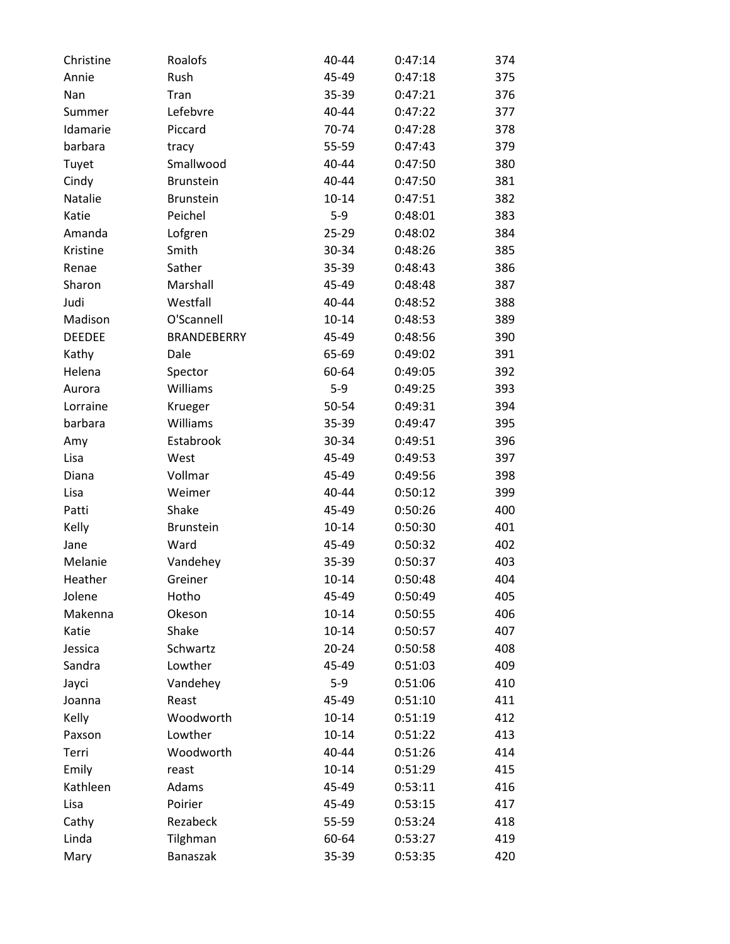| Christine     | Roalofs            | 40-44     | 0:47:14 | 374 |
|---------------|--------------------|-----------|---------|-----|
| Annie         | Rush               | 45-49     | 0:47:18 | 375 |
| Nan           | Tran               | 35-39     | 0:47:21 | 376 |
| Summer        | Lefebvre           | 40-44     | 0:47:22 | 377 |
| Idamarie      | Piccard            | 70-74     | 0:47:28 | 378 |
| barbara       | tracy              | 55-59     | 0:47:43 | 379 |
| Tuyet         | Smallwood          | 40-44     | 0:47:50 | 380 |
| Cindy         | <b>Brunstein</b>   | 40-44     | 0:47:50 | 381 |
| Natalie       | <b>Brunstein</b>   | $10 - 14$ | 0:47:51 | 382 |
| Katie         | Peichel            | $5-9$     | 0:48:01 | 383 |
| Amanda        | Lofgren            | 25-29     | 0:48:02 | 384 |
| Kristine      | Smith              | 30-34     | 0:48:26 | 385 |
| Renae         | Sather             | 35-39     | 0:48:43 | 386 |
| Sharon        | Marshall           | 45-49     | 0:48:48 | 387 |
| Judi          | Westfall           | 40-44     | 0:48:52 | 388 |
| Madison       | O'Scannell         | $10 - 14$ | 0:48:53 | 389 |
| <b>DEEDEE</b> | <b>BRANDEBERRY</b> | 45-49     | 0:48:56 | 390 |
| Kathy         | Dale               | 65-69     | 0:49:02 | 391 |
| Helena        | Spector            | 60-64     | 0:49:05 | 392 |
| Aurora        | Williams           | $5-9$     | 0:49:25 | 393 |
| Lorraine      | Krueger            | 50-54     | 0:49:31 | 394 |
| barbara       | Williams           | 35-39     | 0:49:47 | 395 |
| Amy           | Estabrook          | 30-34     | 0:49:51 | 396 |
| Lisa          | West               | 45-49     | 0:49:53 | 397 |
| Diana         | Vollmar            | 45-49     | 0:49:56 | 398 |
| Lisa          | Weimer             | 40-44     | 0:50:12 | 399 |
| Patti         | Shake              | 45-49     | 0:50:26 | 400 |
| Kelly         | <b>Brunstein</b>   | $10 - 14$ | 0:50:30 | 401 |
| Jane          | Ward               | 45-49     | 0:50:32 | 402 |
| Melanie       | Vandehey           | 35-39     | 0:50:37 | 403 |
| Heather       | Greiner            | $10 - 14$ | 0:50:48 | 404 |
| Jolene        | Hotho              | 45-49     | 0:50:49 | 405 |
| Makenna       | Okeson             | $10 - 14$ | 0:50:55 | 406 |
| Katie         | Shake              | $10 - 14$ | 0:50:57 | 407 |
| Jessica       | Schwartz           | $20 - 24$ | 0:50:58 | 408 |
| Sandra        | Lowther            | 45-49     | 0:51:03 | 409 |
| Jayci         | Vandehey           | $5-9$     | 0:51:06 | 410 |
| Joanna        | Reast              | 45-49     | 0:51:10 | 411 |
| Kelly         | Woodworth          | $10 - 14$ | 0:51:19 | 412 |
| Paxson        | Lowther            | $10 - 14$ | 0:51:22 | 413 |
| Terri         | Woodworth          | 40-44     | 0:51:26 | 414 |
| Emily         | reast              | $10 - 14$ | 0:51:29 | 415 |
| Kathleen      | Adams              | 45-49     | 0:53:11 | 416 |
| Lisa          | Poirier            | 45-49     | 0:53:15 | 417 |
| Cathy         | Rezabeck           | 55-59     | 0:53:24 | 418 |
| Linda         | Tilghman           | 60-64     | 0:53:27 | 419 |
| Mary          | Banaszak           | 35-39     | 0:53:35 | 420 |